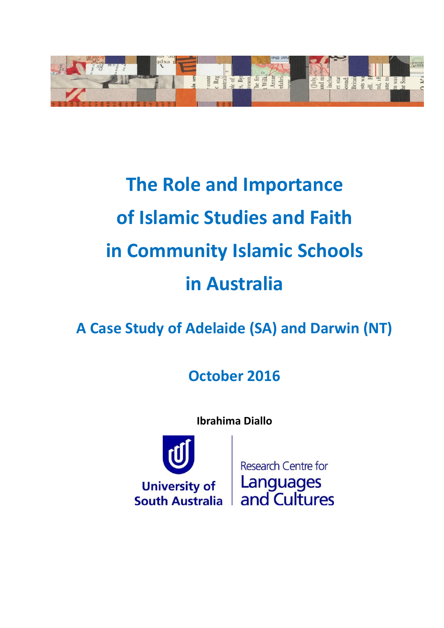

# **The Role and Importance of Islamic Studies and Faith in Community Islamic Schools in Australia**

**A Case Study of Adelaide (SA) and Darwin (NT)**

**October 2016**

**Ibrahima Diallo**



**Research Centre for Languages** and Cultures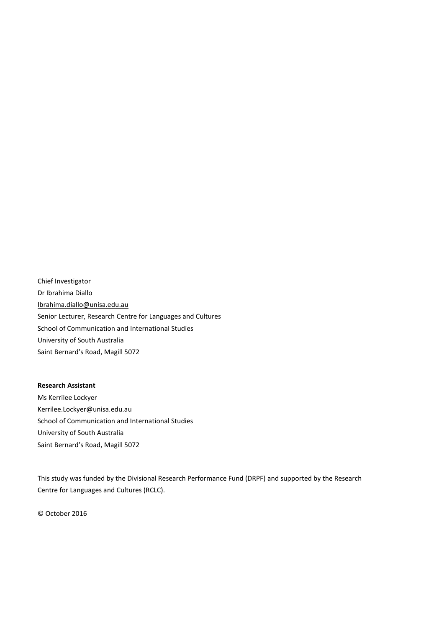Chief Investigator Dr Ibrahima Diallo [Ibrahima.diallo@unisa.edu.au](mailto:Ibrahima.diallo@unisa.edu.au) Senior Lecturer, Research Centre for Languages and Cultures School of Communication and International Studies University of South Australia Saint Bernard's Road, Magill 5072

#### **Research Assistant**

Ms Kerrilee Lockyer Kerrilee.Lockyer@unisa.edu.au School of Communication and International Studies University of South Australia Saint Bernard's Road, Magill 5072

This study was funded by the Divisional Research Performance Fund (DRPF) and supported by the Research Centre for Languages and Cultures (RCLC).

© October 2016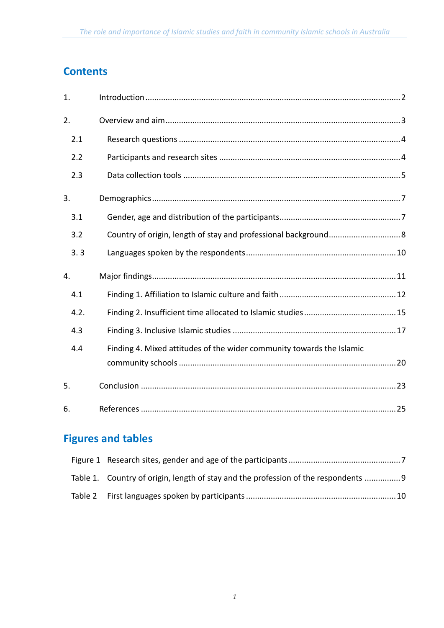# **Contents**

| 1.   |                                                                       |
|------|-----------------------------------------------------------------------|
| 2.   |                                                                       |
| 2.1  |                                                                       |
| 2.2  |                                                                       |
| 2.3  |                                                                       |
| 3.   |                                                                       |
| 3.1  |                                                                       |
| 3.2  |                                                                       |
| 3.3  |                                                                       |
| 4.   |                                                                       |
| 4.1  |                                                                       |
| 4.2. |                                                                       |
| 4.3  |                                                                       |
| 4.4  | Finding 4. Mixed attitudes of the wider community towards the Islamic |
|      |                                                                       |
| 5.   |                                                                       |
| 6.   |                                                                       |

# **Figures and tables**

| Table 1. Country of origin, length of stay and the profession of the respondents |  |
|----------------------------------------------------------------------------------|--|
|                                                                                  |  |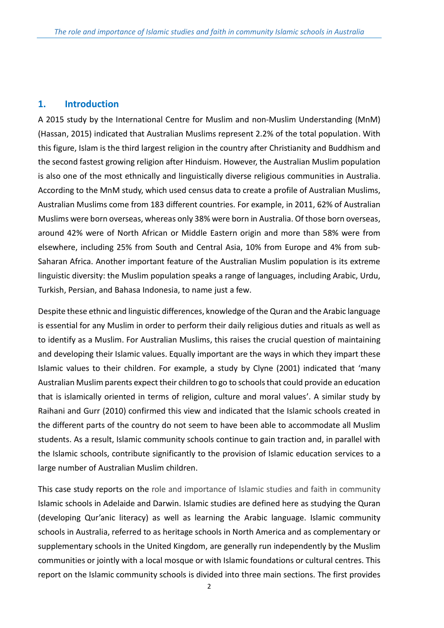#### <span id="page-3-0"></span>**1. Introduction**

A 2015 study by the International Centre for Muslim and non-Muslim Understanding (MnM) (Hassan, 2015) indicated that Australian Muslims represent 2.2% of the total population. With this figure, Islam is the third largest religion in the country after Christianity and Buddhism and the second fastest growing religion after Hinduism. However, the Australian Muslim population is also one of the most ethnically and linguistically diverse religious communities in Australia. According to the MnM study, which used census data to create a profile of Australian Muslims, Australian Muslims come from 183 different countries. For example, in 2011, 62% of Australian Muslims were born overseas, whereas only 38% were born in Australia. Of those born overseas, around 42% were of North African or Middle Eastern origin and more than 58% were from elsewhere, including 25% from South and Central Asia, 10% from Europe and 4% from sub-Saharan Africa. Another important feature of the Australian Muslim population is its extreme linguistic diversity: the Muslim population speaks a range of languages, including Arabic, Urdu, Turkish, Persian, and Bahasa Indonesia, to name just a few.

Despite these ethnic and linguistic differences, knowledge of the Quran and the Arabic language is essential for any Muslim in order to perform their daily religious duties and rituals as well as to identify as a Muslim. For Australian Muslims, this raises the crucial question of maintaining and developing their Islamic values. Equally important are the ways in which they impart these Islamic values to their children. For example, a study by Clyne (2001) indicated that 'many Australian Muslim parents expect their children to go to schools that could provide an education that is islamically oriented in terms of religion, culture and moral values'. A similar study by Raihani and Gurr (2010) confirmed this view and indicated that the Islamic schools created in the different parts of the country do not seem to have been able to accommodate all Muslim students. As a result, Islamic community schools continue to gain traction and, in parallel with the Islamic schools, contribute significantly to the provision of Islamic education services to a large number of Australian Muslim children.

This case study reports on the role and importance of Islamic studies and faith in community Islamic schools in Adelaide and Darwin. Islamic studies are defined here as studying the Quran (developing Qur'anic literacy) as well as learning the Arabic language. Islamic community schools in Australia, referred to as heritage schools in North America and as complementary or supplementary schools in the United Kingdom, are generally run independently by the Muslim communities or jointly with a local mosque or with Islamic foundations or cultural centres. This report on the Islamic community schools is divided into three main sections. The first provides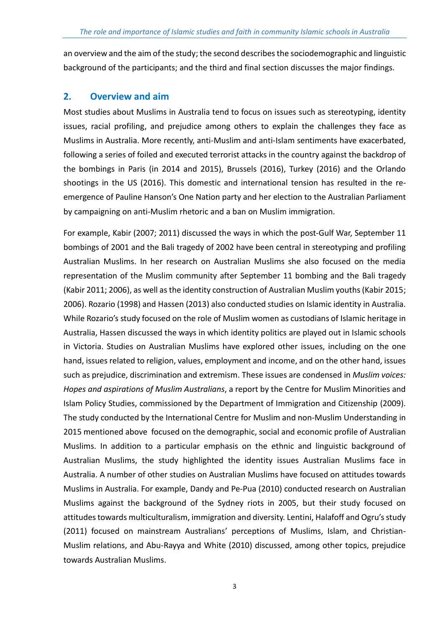an overview and the aim of the study; the second describes the sociodemographic and linguistic background of the participants; and the third and final section discusses the major findings.

# <span id="page-4-0"></span>**2. Overview and aim**

Most studies about Muslims in Australia tend to focus on issues such as stereotyping, identity issues, racial profiling, and prejudice among others to explain the challenges they face as Muslims in Australia. More recently, anti-Muslim and anti-Islam sentiments have exacerbated, following a series of foiled and executed terrorist attacks in the country against the backdrop of the bombings in Paris (in 2014 and 2015), Brussels (2016), Turkey (2016) and the Orlando shootings in the US (2016). This domestic and international tension has resulted in the reemergence of Pauline Hanson's One Nation party and her election to the Australian Parliament by campaigning on anti-Muslim rhetoric and a ban on Muslim immigration.

For example, Kabir (2007; 2011) discussed the ways in which the post-Gulf War, September 11 bombings of 2001 and the Bali tragedy of 2002 have been central in stereotyping and profiling Australian Muslims. In her research on Australian Muslims she also focused on the media representation of the Muslim community after September 11 bombing and the Bali tragedy (Kabir 2011; 2006), as well as the identity construction of Australian Muslim youths (Kabir 2015; 2006). Rozario (1998) and Hassen (2013) also conducted studies on Islamic identity in Australia. While Rozario's study focused on the role of Muslim women as custodians of Islamic heritage in Australia, Hassen discussed the ways in which identity politics are played out in Islamic schools in Victoria. Studies on Australian Muslims have explored other issues, including on the one hand, issues related to religion, values, employment and income, and on the other hand, issues such as prejudice, discrimination and extremism. These issues are condensed in *Muslim voices: Hopes and aspirations of Muslim Australians*, a report by the Centre for Muslim Minorities and Islam Policy Studies, commissioned by the Department of Immigration and Citizenship (2009). The study conducted by the International Centre for Muslim and non-Muslim Understanding in 2015 mentioned above focused on the demographic, social and economic profile of Australian Muslims. In addition to a particular emphasis on the ethnic and linguistic background of Australian Muslims, the study highlighted the identity issues Australian Muslims face in Australia. A number of other studies on Australian Muslims have focused on attitudes towards Muslims in Australia. For example, Dandy and Pe-Pua (2010) conducted research on Australian Muslims against the background of the Sydney riots in 2005, but their study focused on attitudes towards multiculturalism, immigration and diversity. Lentini, Halafoff and Ogru's study (2011) focused on mainstream Australians' perceptions of Muslims, Islam, and Christian-Muslim relations, and Abu-Rayya and White (2010) discussed, among other topics, prejudice towards Australian Muslims.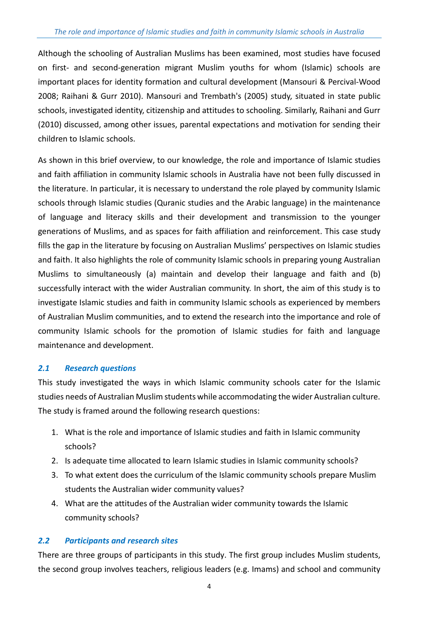Although the schooling of Australian Muslims has been examined, most studies have focused on first- and second-generation migrant Muslim youths for whom (Islamic) schools are important places for identity formation and cultural development (Mansouri & Percival-Wood 2008; Raihani & Gurr 2010). Mansouri and Trembath's (2005) study, situated in state public schools, investigated identity, citizenship and attitudes to schooling. Similarly, Raihani and Gurr (2010) discussed, among other issues, parental expectations and motivation for sending their children to Islamic schools.

As shown in this brief overview, to our knowledge, the role and importance of Islamic studies and faith affiliation in community Islamic schools in Australia have not been fully discussed in the literature. In particular, it is necessary to understand the role played by community Islamic schools through Islamic studies (Quranic studies and the Arabic language) in the maintenance of language and literacy skills and their development and transmission to the younger generations of Muslims, and as spaces for faith affiliation and reinforcement. This case study fills the gap in the literature by focusing on Australian Muslims' perspectives on Islamic studies and faith. It also highlights the role of community Islamic schools in preparing young Australian Muslims to simultaneously (a) maintain and develop their language and faith and (b) successfully interact with the wider Australian community. In short, the aim of this study is to investigate Islamic studies and faith in community Islamic schools as experienced by members of Australian Muslim communities, and to extend the research into the importance and role of community Islamic schools for the promotion of Islamic studies for faith and language maintenance and development.

#### <span id="page-5-0"></span>*2.1 Research questions*

This study investigated the ways in which Islamic community schools cater for the Islamic studies needs of Australian Muslim students while accommodating the wider Australian culture. The study is framed around the following research questions:

- 1. What is the role and importance of Islamic studies and faith in Islamic community schools?
- 2. Is adequate time allocated to learn Islamic studies in Islamic community schools?
- 3. To what extent does the curriculum of the Islamic community schools prepare Muslim students the Australian wider community values?
- 4. What are the attitudes of the Australian wider community towards the Islamic community schools?

#### <span id="page-5-1"></span>*2.2 Participants and research sites*

There are three groups of participants in this study. The first group includes Muslim students, the second group involves teachers, religious leaders (e.g. Imams) and school and community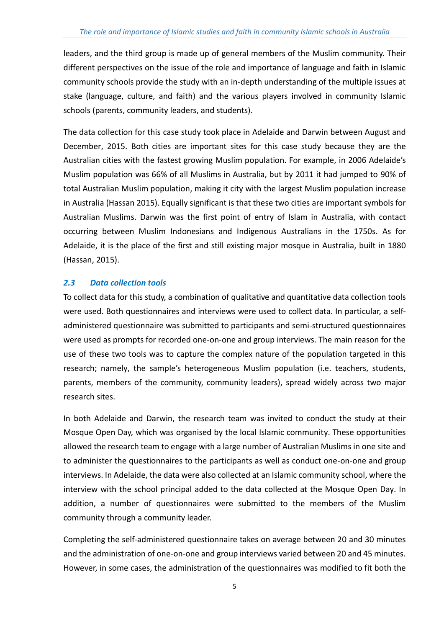leaders, and the third group is made up of general members of the Muslim community. Their different perspectives on the issue of the role and importance of language and faith in Islamic community schools provide the study with an in-depth understanding of the multiple issues at stake (language, culture, and faith) and the various players involved in community Islamic schools (parents, community leaders, and students).

The data collection for this case study took place in Adelaide and Darwin between August and December, 2015. Both cities are important sites for this case study because they are the Australian cities with the fastest growing Muslim population. For example, in 2006 Adelaide's Muslim population was 66% of all Muslims in Australia, but by 2011 it had jumped to 90% of total Australian Muslim population, making it city with the largest Muslim population increase in Australia (Hassan 2015). Equally significant is that these two cities are important symbols for Australian Muslims. Darwin was the first point of entry of Islam in Australia, with contact occurring between Muslim Indonesians and Indigenous Australians in the 1750s. As for Adelaide, it is the place of the first and still existing major mosque in Australia, built in 1880 (Hassan, 2015).

### <span id="page-6-0"></span>*2.3 Data collection tools*

To collect data for this study, a combination of qualitative and quantitative data collection tools were used. Both questionnaires and interviews were used to collect data. In particular, a selfadministered questionnaire was submitted to participants and semi-structured questionnaires were used as prompts for recorded one-on-one and group interviews. The main reason for the use of these two tools was to capture the complex nature of the population targeted in this research; namely, the sample's heterogeneous Muslim population (i.e. teachers, students, parents, members of the community, community leaders), spread widely across two major research sites.

In both Adelaide and Darwin, the research team was invited to conduct the study at their Mosque Open Day, which was organised by the local Islamic community. These opportunities allowed the research team to engage with a large number of Australian Muslims in one site and to administer the questionnaires to the participants as well as conduct one-on-one and group interviews. In Adelaide, the data were also collected at an Islamic community school, where the interview with the school principal added to the data collected at the Mosque Open Day. In addition, a number of questionnaires were submitted to the members of the Muslim community through a community leader.

Completing the self-administered questionnaire takes on average between 20 and 30 minutes and the administration of one-on-one and group interviews varied between 20 and 45 minutes. However, in some cases, the administration of the questionnaires was modified to fit both the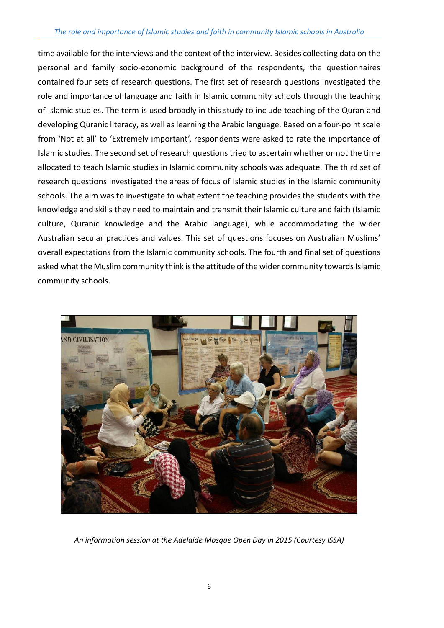#### *The role and importance of Islamic studies and faith in community Islamic schools in Australia*

time available for the interviews and the context of the interview. Besides collecting data on the personal and family socio-economic background of the respondents, the questionnaires contained four sets of research questions. The first set of research questions investigated the role and importance of language and faith in Islamic community schools through the teaching of Islamic studies. The term is used broadly in this study to include teaching of the Quran and developing Quranic literacy, as well as learning the Arabic language. Based on a four-point scale from 'Not at all' to 'Extremely important', respondents were asked to rate the importance of Islamic studies. The second set of research questions tried to ascertain whether or not the time allocated to teach Islamic studies in Islamic community schools was adequate. The third set of research questions investigated the areas of focus of Islamic studies in the Islamic community schools. The aim was to investigate to what extent the teaching provides the students with the knowledge and skills they need to maintain and transmit their Islamic culture and faith (Islamic culture, Quranic knowledge and the Arabic language), while accommodating the wider Australian secular practices and values. This set of questions focuses on Australian Muslims' overall expectations from the Islamic community schools. The fourth and final set of questions asked what the Muslim community think is the attitude of the wider community towards Islamic community schools.



*An information session at the Adelaide Mosque Open Day in 2015 (Courtesy ISSA)*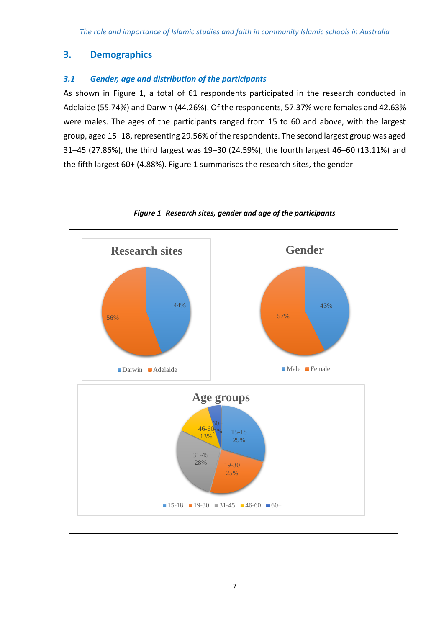# <span id="page-8-0"></span>**3. Demographics**

## <span id="page-8-1"></span>*3.1 Gender, age and distribution of the participants*

As shown in Figure 1, a total of 61 respondents participated in the research conducted in Adelaide (55.74%) and Darwin (44.26%). Of the respondents, 57.37% were females and 42.63% were males. The ages of the participants ranged from 15 to 60 and above, with the largest group, aged 15–18, representing 29.56% of the respondents. The second largest group was aged 31–45 (27.86%), the third largest was 19–30 (24.59%), the fourth largest 46–60 (13.11%) and the fifth largest 60+ (4.88%). Figure 1 summarises the research sites, the gender



<span id="page-8-2"></span>*Figure 1 Research sites, gender and age of the participants*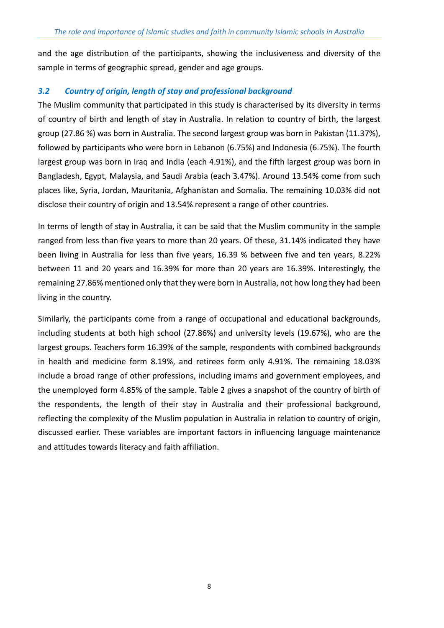and the age distribution of the participants, showing the inclusiveness and diversity of the sample in terms of geographic spread, gender and age groups.

#### <span id="page-9-0"></span>*3.2 Country of origin, length of stay and professional background*

The Muslim community that participated in this study is characterised by its diversity in terms of country of birth and length of stay in Australia. In relation to country of birth, the largest group (27.86 %) was born in Australia. The second largest group was born in Pakistan (11.37%), followed by participants who were born in Lebanon (6.75%) and Indonesia (6.75%). The fourth largest group was born in Iraq and India (each 4.91%), and the fifth largest group was born in Bangladesh, Egypt, Malaysia, and Saudi Arabia (each 3.47%). Around 13.54% come from such places like, Syria, Jordan, Mauritania, Afghanistan and Somalia. The remaining 10.03% did not disclose their country of origin and 13.54% represent a range of other countries.

In terms of length of stay in Australia, it can be said that the Muslim community in the sample ranged from less than five years to more than 20 years. Of these, 31.14% indicated they have been living in Australia for less than five years, 16.39 % between five and ten years, 8.22% between 11 and 20 years and 16.39% for more than 20 years are 16.39%. Interestingly, the remaining 27.86% mentioned only that they were born in Australia, not how long they had been living in the country.

Similarly, the participants come from a range of occupational and educational backgrounds, including students at both high school (27.86%) and university levels (19.67%), who are the largest groups. Teachers form 16.39% of the sample, respondents with combined backgrounds in health and medicine form 8.19%, and retirees form only 4.91%. The remaining 18.03% include a broad range of other professions, including imams and government employees, and the unemployed form 4.85% of the sample. Table 2 gives a snapshot of the country of birth of the respondents, the length of their stay in Australia and their professional background, reflecting the complexity of the Muslim population in Australia in relation to country of origin, discussed earlier. These variables are important factors in influencing language maintenance and attitudes towards literacy and faith affiliation.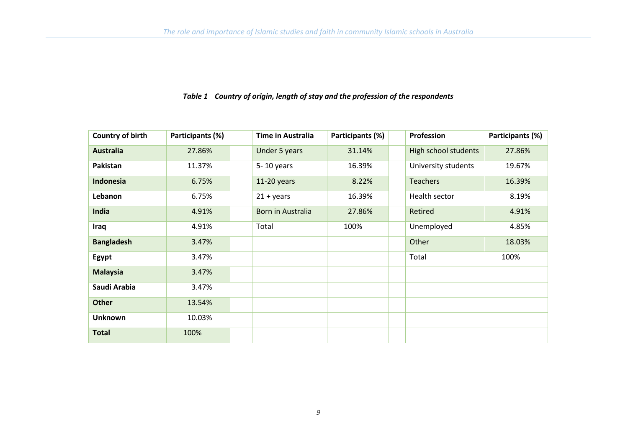#### *Table 1 Country of origin, length of stay and the profession of the respondents*

<span id="page-10-0"></span>

| Country of birth  | Participants (%) | <b>Time in Australia</b> | Participants (%) | Profession           | Participants (%) |
|-------------------|------------------|--------------------------|------------------|----------------------|------------------|
| <b>Australia</b>  | 27.86%           | Under 5 years            | 31.14%           | High school students | 27.86%           |
| Pakistan          | 11.37%           | 5-10 years               | 16.39%           | University students  | 19.67%           |
| <b>Indonesia</b>  | 6.75%            | $11-20$ years            | 8.22%            | <b>Teachers</b>      | 16.39%           |
| Lebanon           | 6.75%            | $21 + years$             | 16.39%           | Health sector        | 8.19%            |
| India             | 4.91%            | Born in Australia        | 27.86%           | Retired              | 4.91%            |
| Iraq              | 4.91%            | Total                    | 100%             | Unemployed           | 4.85%            |
| <b>Bangladesh</b> | 3.47%            |                          |                  | Other                | 18.03%           |
| Egypt             | 3.47%            |                          |                  | Total                | 100%             |
| <b>Malaysia</b>   | 3.47%            |                          |                  |                      |                  |
| Saudi Arabia      | 3.47%            |                          |                  |                      |                  |
| <b>Other</b>      | 13.54%           |                          |                  |                      |                  |
| <b>Unknown</b>    | 10.03%           |                          |                  |                      |                  |
| <b>Total</b>      | 100%             |                          |                  |                      |                  |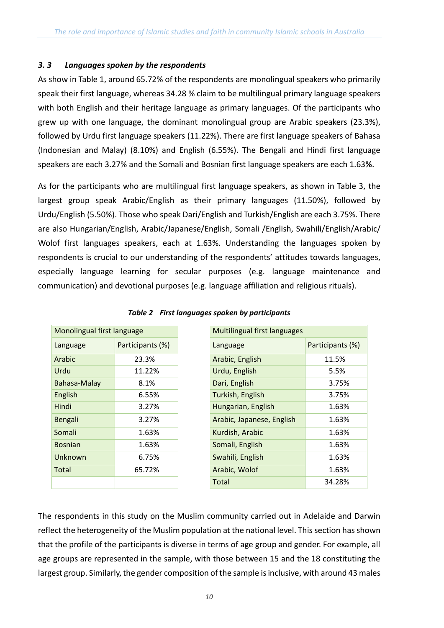#### <span id="page-11-0"></span>*3. 3 Languages spoken by the respondents*

As show in Table 1, around 65.72% of the respondents are monolingual speakers who primarily speak their first language, whereas 34.28 % claim to be multilingual primary language speakers with both English and their heritage language as primary languages. Of the participants who grew up with one language, the dominant monolingual group are Arabic speakers (23.3%), followed by Urdu first language speakers (11.22%). There are first language speakers of Bahasa (Indonesian and Malay) (8.10%) and English (6.55%). The Bengali and Hindi first language speakers are each 3.27% and the Somali and Bosnian first language speakers are each 1.63**%**.

As for the participants who are multilingual first language speakers, as shown in Table 3, the largest group speak Arabic/English as their primary languages (11.50%), followed by Urdu/English (5.50%). Those who speak Dari/English and Turkish/English are each 3.75%. There are also Hungarian/English, Arabic/Japanese/English, Somali /English, Swahili/English/Arabic/ Wolof first languages speakers, each at 1.63%. Understanding the languages spoken by respondents is crucial to our understanding of the respondents' attitudes towards languages, especially language learning for secular purposes (e.g. language maintenance and communication) and devotional purposes (e.g. language affiliation and religious rituals).

<span id="page-11-1"></span>

| Monolingual first language |                  | <b>Multilingual first languages</b> |                  |
|----------------------------|------------------|-------------------------------------|------------------|
| Language                   | Participants (%) | Language                            | Participants (%) |
| Arabic                     | 23.3%            | Arabic, English                     | 11.5%            |
| Urdu                       | 11.22%           | Urdu, English                       | 5.5%             |
| Bahasa-Malay               | 8.1%             | Dari, English                       | 3.75%            |
| English                    | 6.55%            | Turkish, English                    | 3.75%            |
| Hindi                      | 3.27%            | Hungarian, English                  | 1.63%            |
| Bengali                    | 3.27%            | Arabic, Japanese, English           | 1.63%            |
| Somali                     | 1.63%            | Kurdish, Arabic                     | 1.63%            |
| <b>Bosnian</b>             | 1.63%            | Somali, English                     | 1.63%            |
| Unknown                    | 6.75%            | Swahili, English                    | 1.63%            |
| Total                      | 65.72%           | Arabic, Wolof                       | 1.63%            |
|                            |                  | Total                               | 34.28%           |

|  | Table 2 First languages spoken by participants |  |  |
|--|------------------------------------------------|--|--|
|--|------------------------------------------------|--|--|

The respondents in this study on the Muslim community carried out in Adelaide and Darwin reflect the heterogeneity of the Muslim population at the national level. This section has shown that the profile of the participants is diverse in terms of age group and gender. For example, all age groups are represented in the sample, with those between 15 and the 18 constituting the largest group. Similarly, the gender composition of the sample is inclusive, with around 43 males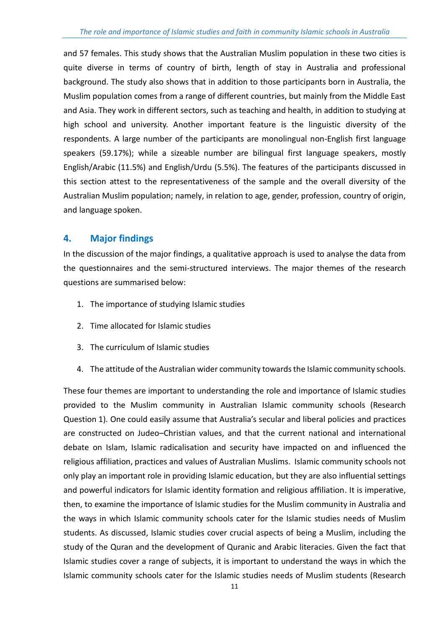and 57 females. This study shows that the Australian Muslim population in these two cities is quite diverse in terms of country of birth, length of stay in Australia and professional background. The study also shows that in addition to those participants born in Australia, the Muslim population comes from a range of different countries, but mainly from the Middle East and Asia. They work in different sectors, such as teaching and health, in addition to studying at high school and university. Another important feature is the linguistic diversity of the respondents. A large number of the participants are monolingual non-English first language speakers (59.17%); while a sizeable number are bilingual first language speakers, mostly English/Arabic (11.5%) and English/Urdu (5.5%). The features of the participants discussed in this section attest to the representativeness of the sample and the overall diversity of the Australian Muslim population; namely, in relation to age, gender, profession, country of origin, and language spoken.

# <span id="page-12-0"></span>**4. Major findings**

In the discussion of the major findings, a qualitative approach is used to analyse the data from the questionnaires and the semi-structured interviews. The major themes of the research questions are summarised below:

- 1. The importance of studying Islamic studies
- 2. Time allocated for Islamic studies
- 3. The curriculum of Islamic studies
- 4. The attitude of the Australian wider community towards the Islamic community schools.

These four themes are important to understanding the role and importance of Islamic studies provided to the Muslim community in Australian Islamic community schools (Research Question 1). One could easily assume that Australia's secular and liberal policies and practices are constructed on Judeo–Christian values, and that the current national and international debate on Islam, Islamic radicalisation and security have impacted on and influenced the religious affiliation, practices and values of Australian Muslims. Islamic community schools not only play an important role in providing Islamic education, but they are also influential settings and powerful indicators for Islamic identity formation and religious affiliation. It is imperative, then, to examine the importance of Islamic studies for the Muslim community in Australia and the ways in which Islamic community schools cater for the Islamic studies needs of Muslim students. As discussed, Islamic studies cover crucial aspects of being a Muslim, including the study of the Quran and the development of Quranic and Arabic literacies. Given the fact that Islamic studies cover a range of subjects, it is important to understand the ways in which the Islamic community schools cater for the Islamic studies needs of Muslim students (Research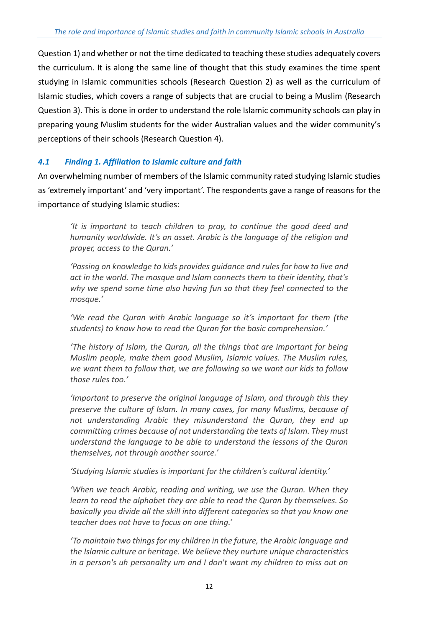Question 1) and whether or not the time dedicated to teaching these studies adequately covers the curriculum. It is along the same line of thought that this study examines the time spent studying in Islamic communities schools (Research Question 2) as well as the curriculum of Islamic studies, which covers a range of subjects that are crucial to being a Muslim (Research Question 3). This is done in order to understand the role Islamic community schools can play in preparing young Muslim students for the wider Australian values and the wider community's perceptions of their schools (Research Question 4).

### <span id="page-13-0"></span>*4.1 Finding 1. Affiliation to Islamic culture and faith*

An overwhelming number of members of the Islamic community rated studying Islamic studies as 'extremely important' and 'very important'. The respondents gave a range of reasons for the importance of studying Islamic studies:

*'It is important to teach children to pray, to continue the good deed and humanity worldwide. It's an asset. Arabic is the language of the religion and prayer, access to the Quran.'*

*'Passing on knowledge to kids provides guidance and rules for how to live and act in the world. The mosque and Islam connects them to their identity, that's why we spend some time also having fun so that they feel connected to the mosque.'*

*'We read the Quran with Arabic language so it's important for them (the students) to know how to read the Quran for the basic comprehension.'*

*'The history of Islam, the Quran, all the things that are important for being Muslim people, make them good Muslim, Islamic values. The Muslim rules, we want them to follow that, we are following so we want our kids to follow those rules too.'*

*'Important to preserve the original language of Islam, and through this they preserve the culture of Islam. In many cases, for many Muslims, because of not understanding Arabic they misunderstand the Quran, they end up committing crimes because of not understanding the texts of Islam. They must understand the language to be able to understand the lessons of the Quran themselves, not through another source.'*

*'Studying Islamic studies is important for the children's cultural identity.'*

*'When we teach Arabic, reading and writing, we use the Quran. When they learn to read the alphabet they are able to read the Quran by themselves. So basically you divide all the skill into different categories so that you know one teacher does not have to focus on one thing.'*

*'To maintain two things for my children in the future, the Arabic language and the Islamic culture or heritage. We believe they nurture unique characteristics in a person's uh personality um and I don't want my children to miss out on*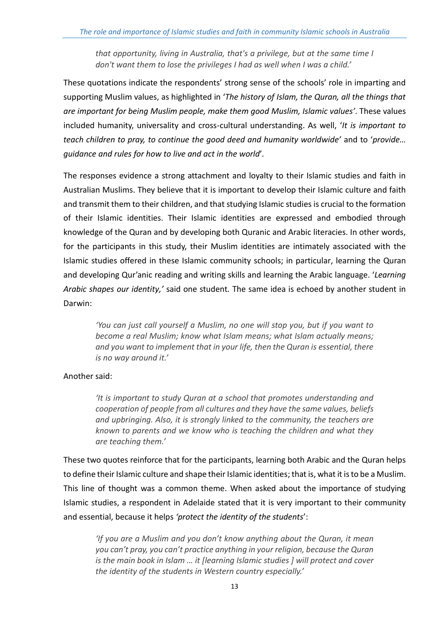*that opportunity, living in Australia, that's a privilege, but at the same time I don't want them to lose the privileges I had as well when I was a child.'*

These quotations indicate the respondents' strong sense of the schools' role in imparting and supporting Muslim values, as highlighted in '*The history of Islam, the Quran, all the things that are important for being Muslim people, make them good Muslim, Islamic values'*. These values included humanity, universality and cross-cultural understanding. As well, '*It is important to teach children to pray, to continue the good deed and humanity worldwide'* and to '*provide… guidance and rules for how to live and act in the world*'*.*

The responses evidence a strong attachment and loyalty to their Islamic studies and faith in Australian Muslims. They believe that it is important to develop their Islamic culture and faith and transmit them to their children, and that studying Islamic studies is crucial to the formation of their Islamic identities. Their Islamic identities are expressed and embodied through knowledge of the Quran and by developing both Quranic and Arabic literacies. In other words, for the participants in this study, their Muslim identities are intimately associated with the Islamic studies offered in these Islamic community schools; in particular, learning the Quran and developing Qur'anic reading and writing skills and learning the Arabic language. '*Learning Arabic shapes our identity,'* said one student*.* The same idea is echoed by another student in Darwin:

*'You can just call yourself a Muslim, no one will stop you, but if you want to become a real Muslim; know what Islam means; what Islam actually means; and you want to implement that in your life, then the Quran is essential, there is no way around it.'*

#### Another said:

*'It is important to study Quran at a school that promotes understanding and cooperation of people from all cultures and they have the same values, beliefs and upbringing. Also, it is strongly linked to the community, the teachers are known to parents and we know who is teaching the children and what they are teaching them.'*

These two quotes reinforce that for the participants, learning both Arabic and the Quran helps to define their Islamic culture and shape their Islamic identities; that is, what it isto be a Muslim. This line of thought was a common theme. When asked about the importance of studying Islamic studies, a respondent in Adelaide stated that it is very important to their community and essential, because it helps *'protect the identity of the students*':

*'If you are a Muslim and you don't know anything about the Quran, it mean you can't pray, you can't practice anything in your religion, because the Quran is the main book in Islam … it [learning Islamic studies ] will protect and cover the identity of the students in Western country especially.'*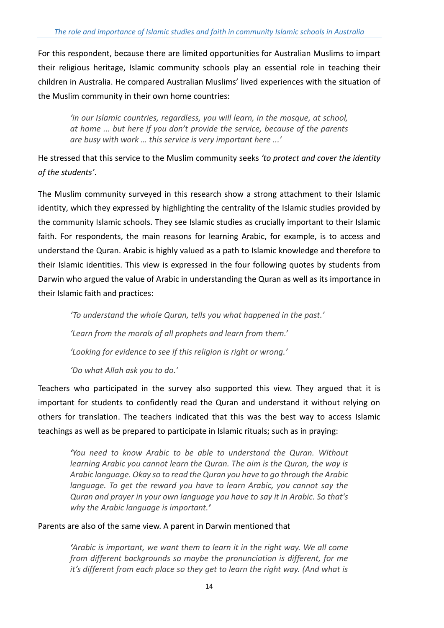For this respondent, because there are limited opportunities for Australian Muslims to impart their religious heritage, Islamic community schools play an essential role in teaching their children in Australia. He compared Australian Muslims' lived experiences with the situation of the Muslim community in their own home countries:

*'in our Islamic countries, regardless, you will learn, in the mosque, at school, at home ... but here if you don't provide the service, because of the parents are busy with work … this service is very important here ...'*

He stressed that this service to the Muslim community seeks *'to protect and cover the identity of the students'*.

The Muslim community surveyed in this research show a strong attachment to their Islamic identity, which they expressed by highlighting the centrality of the Islamic studies provided by the community Islamic schools. They see Islamic studies as crucially important to their Islamic faith. For respondents, the main reasons for learning Arabic, for example, is to access and understand the Quran. Arabic is highly valued as a path to Islamic knowledge and therefore to their Islamic identities. This view is expressed in the four following quotes by students from Darwin who argued the value of Arabic in understanding the Quran as well as its importance in their Islamic faith and practices:

*'To understand the whole Quran, tells you what happened in the past.' 'Learn from the morals of all prophets and learn from them.' 'Looking for evidence to see if this religion is right or wrong.' 'Do what Allah ask you to do.'*

Teachers who participated in the survey also supported this view. They argued that it is important for students to confidently read the Quran and understand it without relying on others for translation. The teachers indicated that this was the best way to access Islamic teachings as well as be prepared to participate in Islamic rituals; such as in praying:

*'You need to know Arabic to be able to understand the Quran. Without learning Arabic you cannot learn the Quran. The aim is the Quran, the way is Arabic language. Okay so to read the Quran you have to go through the Arabic language. To get the reward you have to learn Arabic, you cannot say the Quran and prayer in your own language you have to say it in Arabic. So that's why the Arabic language is important.'*

#### Parents are also of the same view. A parent in Darwin mentioned that

*'Arabic is important, we want them to learn it in the right way. We all come from different backgrounds so maybe the pronunciation is different, for me it's different from each place so they get to learn the right way. (And what is*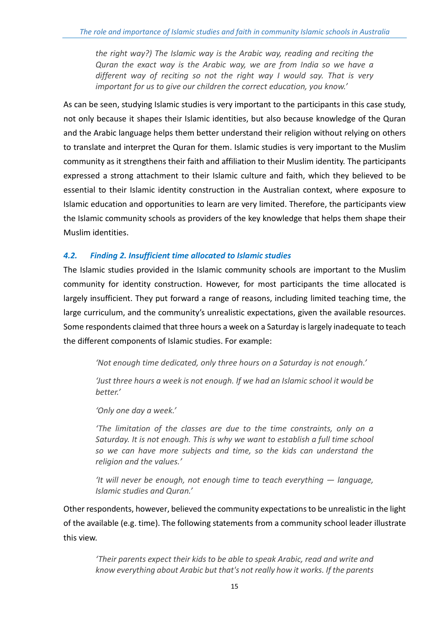*the right way?) The Islamic way is the Arabic way, reading and reciting the Quran the exact way is the Arabic way, we are from India so we have a different way of reciting so not the right way I would say. That is very important for us to give our children the correct education, you know.'*

As can be seen, studying Islamic studies is very important to the participants in this case study, not only because it shapes their Islamic identities, but also because knowledge of the Quran and the Arabic language helps them better understand their religion without relying on others to translate and interpret the Quran for them. Islamic studies is very important to the Muslim community as it strengthens their faith and affiliation to their Muslim identity. The participants expressed a strong attachment to their Islamic culture and faith, which they believed to be essential to their Islamic identity construction in the Australian context, where exposure to Islamic education and opportunities to learn are very limited. Therefore, the participants view the Islamic community schools as providers of the key knowledge that helps them shape their Muslim identities.

### <span id="page-16-0"></span>*4.2. Finding 2. Insufficient time allocated to Islamic studies*

The Islamic studies provided in the Islamic community schools are important to the Muslim community for identity construction. However, for most participants the time allocated is largely insufficient. They put forward a range of reasons, including limited teaching time, the large curriculum, and the community's unrealistic expectations, given the available resources. Some respondents claimed that three hours a week on a Saturday is largely inadequate to teach the different components of Islamic studies. For example:

*'Not enough time dedicated, only three hours on a Saturday is not enough.'*

*'Just three hours a week is not enough. If we had an Islamic school it would be better.'*

*'Only one day a week.'*

*'The limitation of the classes are due to the time constraints, only on a Saturday. It is not enough. This is why we want to establish a full time school so we can have more subjects and time, so the kids can understand the religion and the values.'*

*'It will never be enough, not enough time to teach everything — language, Islamic studies and Quran.'*

Other respondents, however, believed the community expectationsto be unrealistic in the light of the available (e.g. time). The following statements from a community school leader illustrate this view.

*'Their parents expect their kids to be able to speak Arabic, read and write and know everything about Arabic but that's not really how it works. If the parents*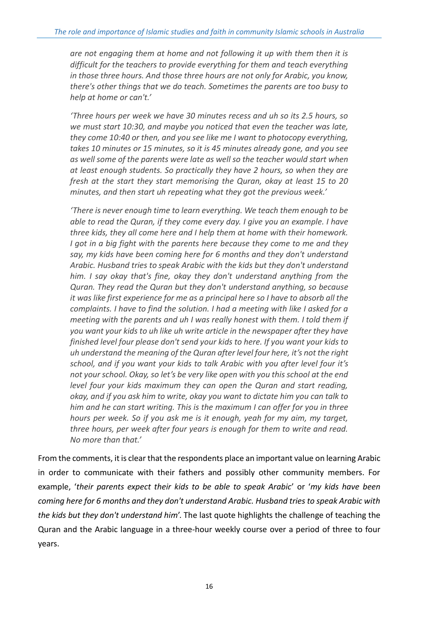*are not engaging them at home and not following it up with them then it is difficult for the teachers to provide everything for them and teach everything in those three hours. And those three hours are not only for Arabic, you know, there's other things that we do teach. Sometimes the parents are too busy to help at home or can't.'*

*'Three hours per week we have 30 minutes recess and uh so its 2.5 hours, so we must start 10:30, and maybe you noticed that even the teacher was late, they come 10:40 or then, and you see like me I want to photocopy everything, takes 10 minutes or 15 minutes, so it is 45 minutes already gone, and you see as well some of the parents were late as well so the teacher would start when at least enough students. So practically they have 2 hours, so when they are fresh at the start they start memorising the Quran, okay at least 15 to 20 minutes, and then start uh repeating what they got the previous week.'*

*'There is never enough time to learn everything. We teach them enough to be able to read the Quran, if they come every day. I give you an example. I have three kids, they all come here and I help them at home with their homework. I got in a big fight with the parents here because they come to me and they say, my kids have been coming here for 6 months and they don't understand Arabic. Husband tries to speak Arabic with the kids but they don't understand him. I say okay that's fine, okay they don't understand anything from the Quran. They read the Quran but they don't understand anything, so because it was like first experience for me as a principal here so I have to absorb all the complaints. I have to find the solution. I had a meeting with like I asked for a meeting with the parents and uh I was really honest with them. I told them if you want your kids to uh like uh write article in the newspaper after they have finished level four please don't send your kids to here. If you want your kids to uh understand the meaning of the Quran after level four here, it's not the right school, and if you want your kids to talk Arabic with you after level four it's not your school. Okay, so let's be very like open with you this school at the end level four your kids maximum they can open the Quran and start reading, okay, and if you ask him to write, okay you want to dictate him you can talk to him and he can start writing. This is the maximum I can offer for you in three hours per week. So if you ask me is it enough, yeah for my aim, my target, three hours, per week after four years is enough for them to write and read. No more than that.'*

From the comments, it is clear that the respondents place an important value on learning Arabic in order to communicate with their fathers and possibly other community members. For example, '*their parents expect their kids to be able to speak Arabic*' or '*my kids have been coming here for 6 months and they don't understand Arabic. Husband tries to speak Arabic with the kids but they don't understand him*'. The last quote highlights the challenge of teaching the Quran and the Arabic language in a three-hour weekly course over a period of three to four years.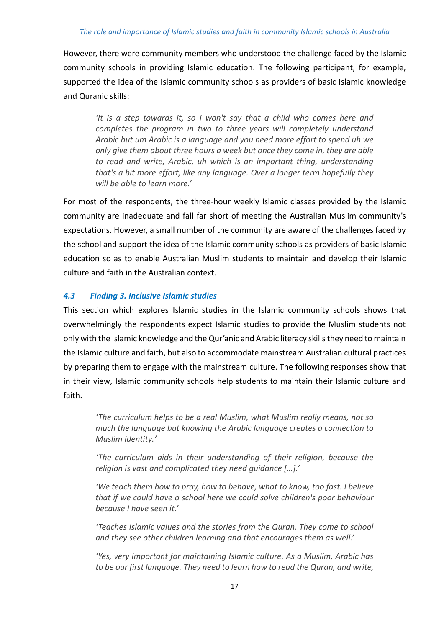However, there were community members who understood the challenge faced by the Islamic community schools in providing Islamic education. The following participant, for example, supported the idea of the Islamic community schools as providers of basic Islamic knowledge and Quranic skills:

*'It is a step towards it, so I won't say that a child who comes here and completes the program in two to three years will completely understand Arabic but um Arabic is a language and you need more effort to spend uh we only give them about three hours a week but once they come in, they are able to read and write, Arabic, uh which is an important thing, understanding that's a bit more effort, like any language. Over a longer term hopefully they will be able to learn more.'*

For most of the respondents, the three-hour weekly Islamic classes provided by the Islamic community are inadequate and fall far short of meeting the Australian Muslim community's expectations. However, a small number of the community are aware of the challenges faced by the school and support the idea of the Islamic community schools as providers of basic Islamic education so as to enable Australian Muslim students to maintain and develop their Islamic culture and faith in the Australian context.

## <span id="page-18-0"></span>*4.3 Finding 3. Inclusive Islamic studies*

This section which explores Islamic studies in the Islamic community schools shows that overwhelmingly the respondents expect Islamic studies to provide the Muslim students not only with the Islamic knowledge and the Qur'anic and Arabic literacy skills they need to maintain the Islamic culture and faith, but also to accommodate mainstream Australian cultural practices by preparing them to engage with the mainstream culture. The following responses show that in their view, Islamic community schools help students to maintain their Islamic culture and faith.

*'The curriculum helps to be a real Muslim, what Muslim really means, not so much the language but knowing the Arabic language creates a connection to Muslim identity.'*

*'The curriculum aids in their understanding of their religion, because the religion is vast and complicated they need guidance […].'*

*'We teach them how to pray, how to behave, what to know, too fast. I believe that if we could have a school here we could solve children's poor behaviour because I have seen it.'*

*'Teaches Islamic values and the stories from the Quran. They come to school and they see other children learning and that encourages them as well.'*

*'Yes, very important for maintaining Islamic culture. As a Muslim, Arabic has to be our first language. They need to learn how to read the Quran, and write,*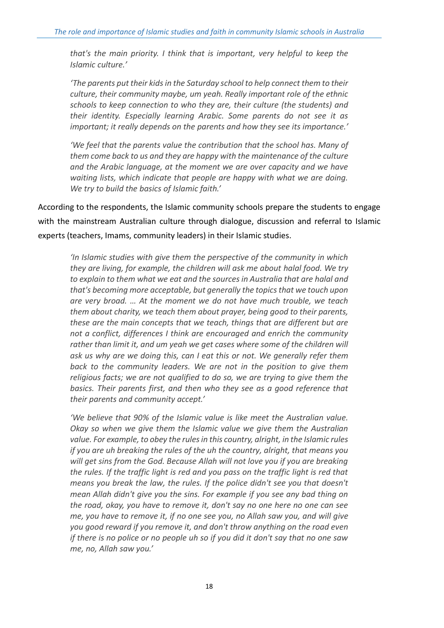*that's the main priority. I think that is important, very helpful to keep the Islamic culture.'*

*'The parents put their kids in the Saturday school to help connect them to their culture, their community maybe, um yeah. Really important role of the ethnic schools to keep connection to who they are, their culture (the students) and their identity. Especially learning Arabic. Some parents do not see it as important; it really depends on the parents and how they see its importance.'*

*'We feel that the parents value the contribution that the school has. Many of them come back to us and they are happy with the maintenance of the culture and the Arabic language, at the moment we are over capacity and we have waiting lists, which indicate that people are happy with what we are doing. We try to build the basics of Islamic faith.'*

According to the respondents, the Islamic community schools prepare the students to engage with the mainstream Australian culture through dialogue, discussion and referral to Islamic experts (teachers, Imams, community leaders) in their Islamic studies.

*'In Islamic studies with give them the perspective of the community in which they are living, for example, the children will ask me about halal food. We try to explain to them what we eat and the sources in Australia that are halal and that's becoming more acceptable, but generally the topics that we touch upon are very broad. … At the moment we do not have much trouble, we teach them about charity, we teach them about prayer, being good to their parents, these are the main concepts that we teach, things that are different but are not a conflict, differences I think are encouraged and enrich the community rather than limit it, and um yeah we get cases where some of the children will ask us why are we doing this, can I eat this or not. We generally refer them back to the community leaders. We are not in the position to give them religious facts; we are not qualified to do so, we are trying to give them the basics. Their parents first, and then who they see as a good reference that their parents and community accept.'*

*'We believe that 90% of the Islamic value is like meet the Australian value. Okay so when we give them the Islamic value we give them the Australian value. For example, to obey the rules in this country, alright, in the Islamic rules if you are uh breaking the rules of the uh the country, alright, that means you will get sins from the God. Because Allah will not love you if you are breaking the rules. If the traffic light is red and you pass on the traffic light is red that means you break the law, the rules. If the police didn't see you that doesn't mean Allah didn't give you the sins. For example if you see any bad thing on the road, okay, you have to remove it, don't say no one here no one can see me, you have to remove it, if no one see you, no Allah saw you, and will give you good reward if you remove it, and don't throw anything on the road even if there is no police or no people uh so if you did it don't say that no one saw me, no, Allah saw you.'*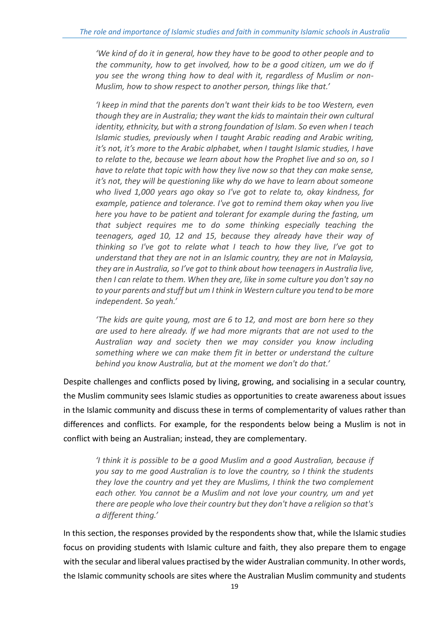*'We kind of do it in general, how they have to be good to other people and to the community, how to get involved, how to be a good citizen, um we do if you see the wrong thing how to deal with it, regardless of Muslim or non-Muslim, how to show respect to another person, things like that.'*

*'I keep in mind that the parents don't want their kids to be too Western, even though they are in Australia; they want the kids to maintain their own cultural identity, ethnicity, but with a strong foundation of Islam. So even when I teach Islamic studies, previously when I taught Arabic reading and Arabic writing, it's not, it's more to the Arabic alphabet, when I taught Islamic studies, I have to relate to the, because we learn about how the Prophet live and so on, so I have to relate that topic with how they live now so that they can make sense, it's not, they will be questioning like why do we have to learn about someone who lived 1,000 years ago okay so I've got to relate to, okay kindness, for example, patience and tolerance. I've got to remind them okay when you live here you have to be patient and tolerant for example during the fasting, um that subject requires me to do some thinking especially teaching the teenagers, aged 10, 12 and 15, because they already have their way of thinking so I've got to relate what I teach to how they live, I've got to understand that they are not in an Islamic country, they are not in Malaysia, they are in Australia, so I've got to think about how teenagers in Australia live, then I can relate to them. When they are, like in some culture you don't say no to your parents and stuff but um I think in Western culture you tend to be more independent. So yeah.'*

*'The kids are quite young, most are 6 to 12, and most are born here so they are used to here already. If we had more migrants that are not used to the Australian way and society then we may consider you know including something where we can make them fit in better or understand the culture behind you know Australia, but at the moment we don't do that.'*

Despite challenges and conflicts posed by living, growing, and socialising in a secular country, the Muslim community sees Islamic studies as opportunities to create awareness about issues in the Islamic community and discuss these in terms of complementarity of values rather than differences and conflicts. For example, for the respondents below being a Muslim is not in conflict with being an Australian; instead, they are complementary.

*'I think it is possible to be a good Muslim and a good Australian, because if you say to me good Australian is to love the country, so I think the students they love the country and yet they are Muslims, I think the two complement each other. You cannot be a Muslim and not love your country, um and yet there are people who love their country but they don't have a religion so that's a different thing.'*

In this section, the responses provided by the respondents show that, while the Islamic studies focus on providing students with Islamic culture and faith, they also prepare them to engage with the secular and liberal values practised by the wider Australian community. In other words, the Islamic community schools are sites where the Australian Muslim community and students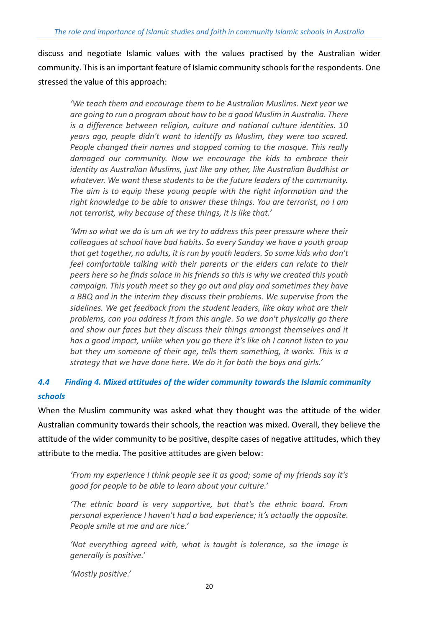discuss and negotiate Islamic values with the values practised by the Australian wider community. This is an important feature of Islamic community schools for the respondents. One stressed the value of this approach:

*'We teach them and encourage them to be Australian Muslims. Next year we are going to run a program about how to be a good Muslim in Australia. There is a difference between religion, culture and national culture identities. 10 years ago, people didn't want to identify as Muslim, they were too scared. People changed their names and stopped coming to the mosque. This really damaged our community. Now we encourage the kids to embrace their identity as Australian Muslims, just like any other, like Australian Buddhist or whatever. We want these students to be the future leaders of the community. The aim is to equip these young people with the right information and the right knowledge to be able to answer these things. You are terrorist, no I am not terrorist, why because of these things, it is like that.'*

*'Mm so what we do is um uh we try to address this peer pressure where their colleagues at school have bad habits. So every Sunday we have a youth group that get together, no adults, it is run by youth leaders. So some kids who don't feel comfortable talking with their parents or the elders can relate to their peers here so he finds solace in his friends so this is why we created this youth campaign. This youth meet so they go out and play and sometimes they have a BBQ and in the interim they discuss their problems. We supervise from the sidelines. We get feedback from the student leaders, like okay what are their problems, can you address it from this angle. So we don't physically go there and show our faces but they discuss their things amongst themselves and it has a good impact, unlike when you go there it's like oh I cannot listen to you but they um someone of their age, tells them something, it works. This is a strategy that we have done here. We do it for both the boys and girls.'*

# <span id="page-21-0"></span>*4.4 Finding 4. Mixed attitudes of the wider community towards the Islamic community schools*

When the Muslim community was asked what they thought was the attitude of the wider Australian community towards their schools, the reaction was mixed. Overall, they believe the attitude of the wider community to be positive, despite cases of negative attitudes, which they attribute to the media. The positive attitudes are given below:

*'From my experience I think people see it as good; some of my friends say it's good for people to be able to learn about your culture.'*

*'The ethnic board is very supportive, but that's the ethnic board. From personal experience I haven't had a bad experience; it's actually the opposite. People smile at me and are nice.'*

*'Not everything agreed with, what is taught is tolerance, so the image is generally is positive.'*

*'Mostly positive.'*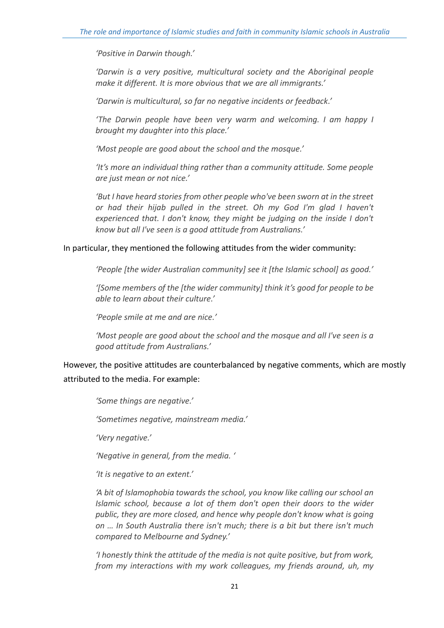*'Positive in Darwin though.'*

*'Darwin is a very positive, multicultural society and the Aboriginal people make it different. It is more obvious that we are all immigrants.'*

*'Darwin is multicultural, so far no negative incidents or feedback.'*

*'The Darwin people have been very warm and welcoming. I am happy I brought my daughter into this place.'*

*'Most people are good about the school and the mosque.'*

*'It's more an individual thing rather than a community attitude. Some people are just mean or not nice.'*

'But I have heard stories from other people who've been sworn at in the street *or had their hijab pulled in the street. Oh my God I'm glad I haven't experienced that. I don't know, they might be judging on the inside I don't know but all I've seen is a good attitude from Australians.'*

#### In particular, they mentioned the following attitudes from the wider community:

*'People [the wider Australian community] see it [the Islamic school] as good.'*

*'[Some members of the [the wider community] think it's good for people to be able to learn about their culture.'*

*'People smile at me and are nice.'*

*'Most people are good about the school and the mosque and all I've seen is a good attitude from Australians.'*

However, the positive attitudes are counterbalanced by negative comments, which are mostly attributed to the media. For example:

*'Some things are negative.'*

*'Sometimes negative, mainstream media.'*

*'Very negative.'*

*'Negative in general, from the media. '*

*'It is negative to an extent.'*

*'A bit of Islamophobia towards the school, you know like calling our school an Islamic school, because a lot of them don't open their doors to the wider public, they are more closed, and hence why people don't know what is going on … In South Australia there isn't much; there is a bit but there isn't much compared to Melbourne and Sydney.'*

*'I honestly think the attitude of the media is not quite positive, but from work, from my interactions with my work colleagues, my friends around, uh, my*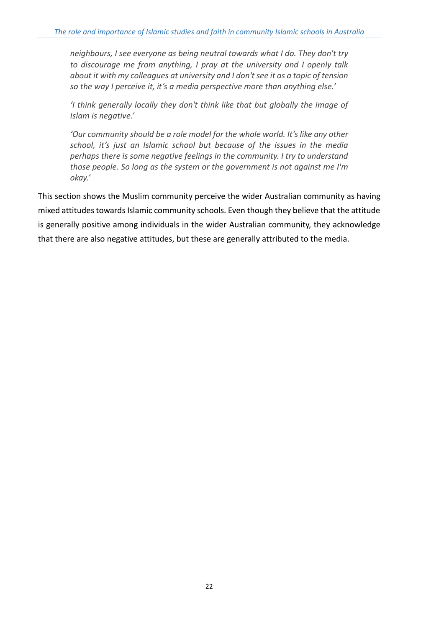*neighbours, I see everyone as being neutral towards what I do. They don't try to discourage me from anything, I pray at the university and I openly talk about it with my colleagues at university and I don't see it as a topic of tension so the way I perceive it, it's a media perspective more than anything else.'*

*'I think generally locally they don't think like that but globally the image of Islam is negative.'*

*'Our community should be a role model for the whole world. It's like any other school, it's just an Islamic school but because of the issues in the media perhaps there is some negative feelings in the community. I try to understand those people. So long as the system or the government is not against me I'm okay.'*

This section shows the Muslim community perceive the wider Australian community as having mixed attitudes towards Islamic community schools. Even though they believe that the attitude is generally positive among individuals in the wider Australian community, they acknowledge that there are also negative attitudes, but these are generally attributed to the media.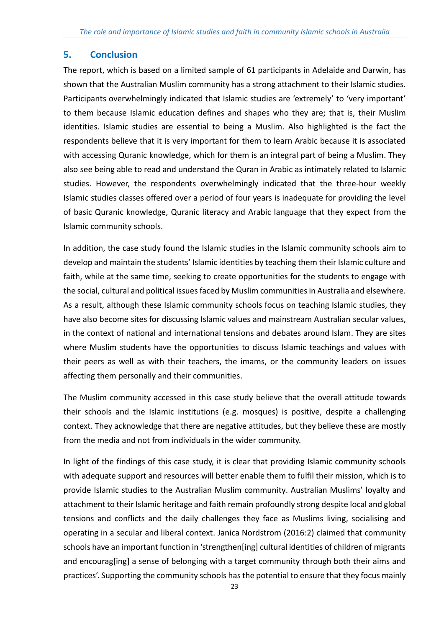# <span id="page-24-0"></span>**5. Conclusion**

The report, which is based on a limited sample of 61 participants in Adelaide and Darwin, has shown that the Australian Muslim community has a strong attachment to their Islamic studies. Participants overwhelmingly indicated that Islamic studies are 'extremely' to 'very important' to them because Islamic education defines and shapes who they are; that is, their Muslim identities. Islamic studies are essential to being a Muslim. Also highlighted is the fact the respondents believe that it is very important for them to learn Arabic because it is associated with accessing Quranic knowledge, which for them is an integral part of being a Muslim. They also see being able to read and understand the Quran in Arabic as intimately related to Islamic studies. However, the respondents overwhelmingly indicated that the three-hour weekly Islamic studies classes offered over a period of four years is inadequate for providing the level of basic Quranic knowledge, Quranic literacy and Arabic language that they expect from the Islamic community schools.

In addition, the case study found the Islamic studies in the Islamic community schools aim to develop and maintain the students' Islamic identities by teaching them their Islamic culture and faith, while at the same time, seeking to create opportunities for the students to engage with the social, cultural and political issues faced by Muslim communitiesin Australia and elsewhere. As a result, although these Islamic community schools focus on teaching Islamic studies, they have also become sites for discussing Islamic values and mainstream Australian secular values, in the context of national and international tensions and debates around Islam. They are sites where Muslim students have the opportunities to discuss Islamic teachings and values with their peers as well as with their teachers, the imams, or the community leaders on issues affecting them personally and their communities.

The Muslim community accessed in this case study believe that the overall attitude towards their schools and the Islamic institutions (e.g. mosques) is positive, despite a challenging context. They acknowledge that there are negative attitudes, but they believe these are mostly from the media and not from individuals in the wider community.

In light of the findings of this case study, it is clear that providing Islamic community schools with adequate support and resources will better enable them to fulfil their mission, which is to provide Islamic studies to the Australian Muslim community. Australian Muslims' loyalty and attachment to their Islamic heritage and faith remain profoundly strong despite local and global tensions and conflicts and the daily challenges they face as Muslims living, socialising and operating in a secular and liberal context. Janica Nordstrom (2016:2) claimed that community schools have an important function in 'strengthen[ing] cultural identities of children of migrants and encourag[ing] a sense of belonging with a target community through both their aims and practices'. Supporting the community schools has the potential to ensure that they focus mainly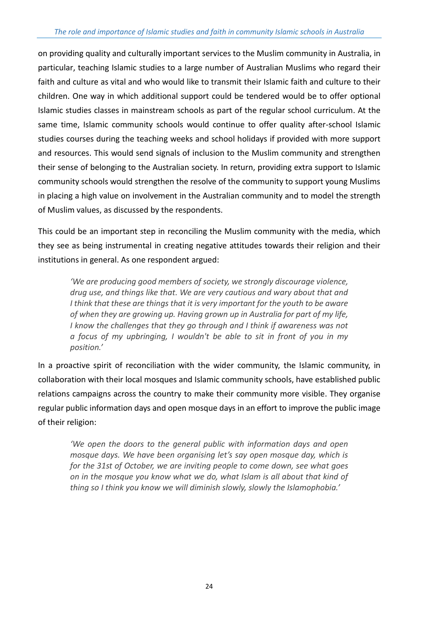on providing quality and culturally important services to the Muslim community in Australia, in particular, teaching Islamic studies to a large number of Australian Muslims who regard their faith and culture as vital and who would like to transmit their Islamic faith and culture to their children. One way in which additional support could be tendered would be to offer optional Islamic studies classes in mainstream schools as part of the regular school curriculum. At the same time, Islamic community schools would continue to offer quality after-school Islamic studies courses during the teaching weeks and school holidays if provided with more support and resources. This would send signals of inclusion to the Muslim community and strengthen their sense of belonging to the Australian society. In return, providing extra support to Islamic community schools would strengthen the resolve of the community to support young Muslims in placing a high value on involvement in the Australian community and to model the strength of Muslim values, as discussed by the respondents.

This could be an important step in reconciling the Muslim community with the media, which they see as being instrumental in creating negative attitudes towards their religion and their institutions in general. As one respondent argued:

*'We are producing good members of society, we strongly discourage violence, drug use, and things like that. We are very cautious and wary about that and I think that these are things that it is very important for the youth to be aware of when they are growing up. Having grown up in Australia for part of my life, I know the challenges that they go through and I think if awareness was not a focus of my upbringing, I wouldn't be able to sit in front of you in my position.'*

In a proactive spirit of reconciliation with the wider community, the Islamic community, in collaboration with their local mosques and Islamic community schools, have established public relations campaigns across the country to make their community more visible. They organise regular public information days and open mosque days in an effort to improve the public image of their religion:

*'We open the doors to the general public with information days and open mosque days. We have been organising let's say open mosque day, which is for the 31st of October, we are inviting people to come down, see what goes on in the mosque you know what we do, what Islam is all about that kind of thing so I think you know we will diminish slowly, slowly the Islamophobia.'*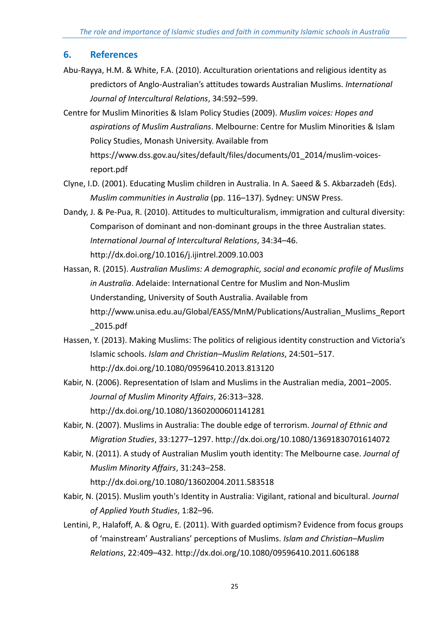# <span id="page-26-0"></span>**6. References**

- Abu-Rayya, H.M. & White, F.A. (2010). Acculturation orientations and religious identity as predictors of Anglo-Australian's attitudes towards Australian Muslims. *International Journal of Intercultural Relations*, 34:592–599.
- Centre for Muslim Minorities & Islam Policy Studies (2009). *Muslim voices: Hopes and aspirations of Muslim Australians*. Melbourne: Centre for Muslim Minorities & Islam Policy Studies, Monash University. Available from https://www.dss.gov.au/sites/default/files/documents/01\_2014/muslim-voicesreport.pdf
- Clyne, I.D. (2001). Educating Muslim children in Australia. In A. Saeed & S. Akbarzadeh (Eds). *Muslim communities in Australia* (pp. 116–137). Sydney: UNSW Press.
- Dandy, J. & Pe-Pua, R. (2010). Attitudes to multiculturalism, immigration and cultural diversity: Comparison of dominant and non-dominant groups in the three Australian states. *International Journal of Intercultural Relations*, 34:34–46. http://dx.doi.org/10.1016/j.ijintrel.2009.10.003
- Hassan, R. (2015). *Australian Muslims: A demographic, social and economic profile of Muslims in Australia*. Adelaide: International Centre for Muslim and Non-Muslim Understanding, University of South Australia. Available from http://www.unisa.edu.au/Global/EASS/MnM/Publications/Australian\_Muslims\_Report \_2015.pdf
- Hassen, Y. (2013). Making Muslims: The politics of religious identity construction and Victoria's Islamic schools. *Islam and Christian–Muslim Relations*, 24:501–517. <http://dx.doi.org/10.1080/09596410.2013.813120>
- Kabir, N. (2006). Representation of Islam and Muslims in the Australian media, 2001–2005. *Journal of Muslim Minority Affairs*, 26:313–328. <http://dx.doi.org/10.1080/13602000601141281>
- Kabir, N. (2007). Muslims in Australia: The double edge of terrorism. *Journal of Ethnic and Migration Studies*, 33:1277–1297.<http://dx.doi.org/10.1080/13691830701614072>
- Kabir, N. (2011). A study of Australian Muslim youth identity: The Melbourne case. *Journal of Muslim Minority Affairs*, 31:243–258.

<http://dx.doi.org/10.1080/13602004.2011.583518>

- Kabir, N. (2015). Muslim youth's Identity in Australia: Vigilant, rational and bicultural. *Journal of Applied Youth Studies*, 1:82–96.
- Lentini, P., Halafoff, A. & Ogru, E. (2011). With guarded optimism? Evidence from focus groups of 'mainstream' Australians' perceptions of Muslims. *Islam and Christian–Muslim Relations*, 22:409–432.<http://dx.doi.org/10.1080/09596410.2011.606188>